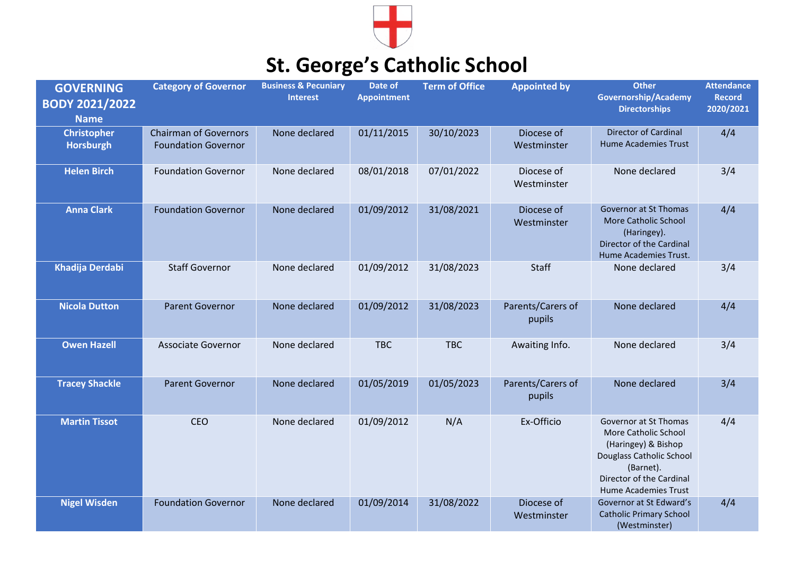

## **St. George's Catholic School**

| <b>GOVERNING</b><br><b>BODY 2021/2022</b><br><b>Name</b> | <b>Category of Governor</b>                                | <b>Business &amp; Pecuniary</b><br><b>Interest</b> | Date of<br><b>Appointment</b> | <b>Term of Office</b> | <b>Appointed by</b>         | <b>Other</b><br><b>Governorship/Academy</b><br><b>Directorships</b>                                                                                                      | <b>Attendance</b><br><b>Record</b><br>2020/2021 |
|----------------------------------------------------------|------------------------------------------------------------|----------------------------------------------------|-------------------------------|-----------------------|-----------------------------|--------------------------------------------------------------------------------------------------------------------------------------------------------------------------|-------------------------------------------------|
| <b>Christopher</b><br>Horsburgh                          | <b>Chairman of Governors</b><br><b>Foundation Governor</b> | None declared                                      | 01/11/2015                    | 30/10/2023            | Diocese of<br>Westminster   | <b>Director of Cardinal</b><br><b>Hume Academies Trust</b>                                                                                                               | 4/4                                             |
| <b>Helen Birch</b>                                       | <b>Foundation Governor</b>                                 | None declared                                      | 08/01/2018                    | 07/01/2022            | Diocese of<br>Westminster   | None declared                                                                                                                                                            | 3/4                                             |
| <b>Anna Clark</b>                                        | <b>Foundation Governor</b>                                 | None declared                                      | 01/09/2012                    | 31/08/2021            | Diocese of<br>Westminster   | Governor at St Thomas<br>More Catholic School<br>(Haringey).<br>Director of the Cardinal<br>Hume Academies Trust.                                                        | 4/4                                             |
| <b>Khadija Derdabi</b>                                   | <b>Staff Governor</b>                                      | None declared                                      | 01/09/2012                    | 31/08/2023            | <b>Staff</b>                | None declared                                                                                                                                                            | 3/4                                             |
| <b>Nicola Dutton</b>                                     | <b>Parent Governor</b>                                     | None declared                                      | 01/09/2012                    | 31/08/2023            | Parents/Carers of<br>pupils | None declared                                                                                                                                                            | 4/4                                             |
| <b>Owen Hazell</b>                                       | <b>Associate Governor</b>                                  | None declared                                      | <b>TBC</b>                    | <b>TBC</b>            | Awaiting Info.              | None declared                                                                                                                                                            | 3/4                                             |
| <b>Tracey Shackle</b>                                    | <b>Parent Governor</b>                                     | None declared                                      | 01/05/2019                    | 01/05/2023            | Parents/Carers of<br>pupils | None declared                                                                                                                                                            | 3/4                                             |
| <b>Martin Tissot</b>                                     | CEO                                                        | None declared                                      | 01/09/2012                    | N/A                   | Ex-Officio                  | Governor at St Thomas<br>More Catholic School<br>(Haringey) & Bishop<br>Douglass Catholic School<br>(Barnet).<br>Director of the Cardinal<br><b>Hume Academies Trust</b> | 4/4                                             |
| <b>Nigel Wisden</b>                                      | <b>Foundation Governor</b>                                 | None declared                                      | 01/09/2014                    | 31/08/2022            | Diocese of<br>Westminster   | Governor at St Edward's<br><b>Catholic Primary School</b><br>(Westminster)                                                                                               | 4/4                                             |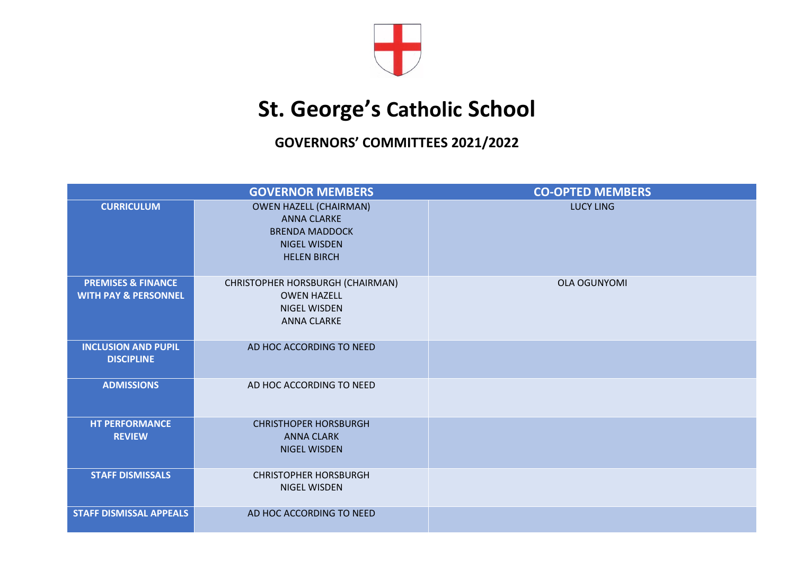

## **St. George's Catholic School**

**GOVERNORS' COMMITTEES 2021/2022**

|                                                                  | <b>GOVERNOR MEMBERS</b>                                                                                                   | <b>CO-OPTED MEMBERS</b> |
|------------------------------------------------------------------|---------------------------------------------------------------------------------------------------------------------------|-------------------------|
| <b>CURRICULUM</b>                                                | <b>OWEN HAZELL (CHAIRMAN)</b><br><b>ANNA CLARKE</b><br><b>BRENDA MADDOCK</b><br><b>NIGEL WISDEN</b><br><b>HELEN BIRCH</b> | <b>LUCY LING</b>        |
| <b>PREMISES &amp; FINANCE</b><br><b>WITH PAY &amp; PERSONNEL</b> | CHRISTOPHER HORSBURGH (CHAIRMAN)<br><b>OWEN HAZELL</b><br><b>NIGEL WISDEN</b><br><b>ANNA CLARKE</b>                       | <b>OLA OGUNYOMI</b>     |
| <b>INCLUSION AND PUPIL</b><br><b>DISCIPLINE</b>                  | AD HOC ACCORDING TO NEED                                                                                                  |                         |
| <b>ADMISSIONS</b>                                                | AD HOC ACCORDING TO NEED                                                                                                  |                         |
| <b>HT PERFORMANCE</b><br><b>REVIEW</b>                           | <b>CHRISTHOPER HORSBURGH</b><br><b>ANNA CLARK</b><br><b>NIGEL WISDEN</b>                                                  |                         |
| <b>STAFF DISMISSALS</b>                                          | <b>CHRISTOPHER HORSBURGH</b><br>NIGEL WISDEN                                                                              |                         |
| <b>STAFF DISMISSAL APPEALS</b>                                   | AD HOC ACCORDING TO NEED                                                                                                  |                         |